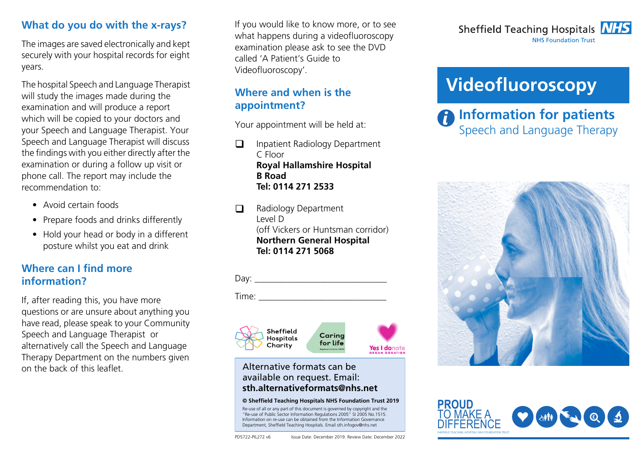#### **What do you do with the x-rays?**

The images are saved electronically and kept securely with your hospital records for eight years.

The hospital Speech and Language Therapist will study the images made during the examination and will produce a report which will be copied to your doctors and your Speech and Language Therapist. Your Speech and Language Therapist will discuss the findings with you either directly after the examination or during a follow up visit or phone call. The report may include the recommendation to:

- Avoid certain foods
- Prepare foods and drinks differently
- Hold your head or body in a different posture whilst you eat and drink

### **Where can I find more information?**

If, after reading this, you have more questions or are unsure about anything you have read, please speak to your Community Speech and Language Therapist or alternatively call the Speech and Language Therapy Department on the numbers given on the back of this leaflet.

If you would like to know more, or to see what happens during a videofluoroscopy examination please ask to see the DVD called 'A Patient's Guide to Videofluoroscopy'.

## **Where and when is the appointment?**

Your appointment will be held at:

- $\Box$  Inpatient Radiology Department C Floor**Royal Hallamshire Hospital B RoadTel: 0114 271 2533**
- $\Box$  Radiology Department Level D(off Vickers or Huntsman corridor) **Northern General Hospital Tel: 0114 271 5068**



Time:



#### Alternative formats can be available on request. Email: **sth.alternativeformats@nhs.net**

#### **© Sheffield Teaching Hospitals NHS Foundation Trust 2019**

Re-use of all or any part of this document is governed by copyright and the "Re-use of Public Sector Information Regulations 2005" SI 2005 No.1515. Information on re-use can be obtained from the Information Governance Department, Sheffield Teaching Hospitals. Email sth.infogov@nhs.net

Sheffield Teaching Hospitals **NHS NHS Foundation Trust** 

# **Videofluoroscopy**

**P** Information for patients Speech and Language Therapy